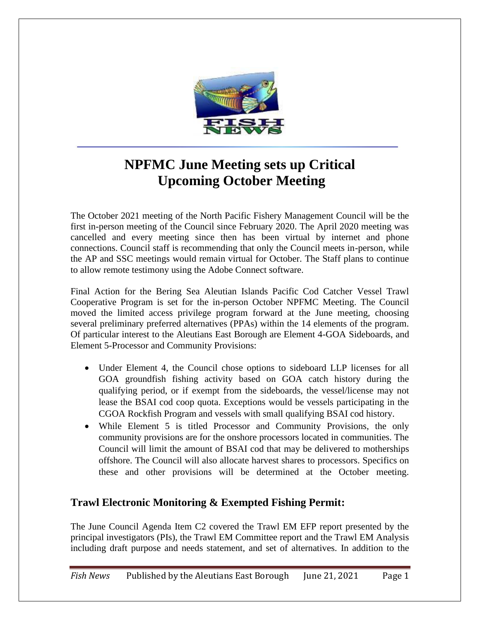

## **NPFMC June Meeting sets up Critical Upcoming October Meeting**

The October 2021 meeting of the North Pacific Fishery Management Council will be the first in-person meeting of the Council since February 2020. The April 2020 meeting was cancelled and every meeting since then has been virtual by internet and phone connections. Council staff is recommending that only the Council meets in-person, while the AP and SSC meetings would remain virtual for October. The Staff plans to continue to allow remote testimony using the Adobe Connect software.

Final Action for the Bering Sea Aleutian Islands Pacific Cod Catcher Vessel Trawl Cooperative Program is set for the in-person October NPFMC Meeting. The Council moved the limited access privilege program forward at the June meeting, choosing several preliminary preferred alternatives (PPAs) within the 14 elements of the program. Of particular interest to the Aleutians East Borough are Element 4-GOA Sideboards, and Element 5-Processor and Community Provisions:

- Under Element 4, the Council chose options to sideboard LLP licenses for all GOA groundfish fishing activity based on GOA catch history during the qualifying period, or if exempt from the sideboards, the vessel/license may not lease the BSAI cod coop quota. Exceptions would be vessels participating in the CGOA Rockfish Program and vessels with small qualifying BSAI cod history.
- While Element 5 is titled Processor and Community Provisions, the only community provisions are for the onshore processors located in communities. The Council will limit the amount of BSAI cod that may be delivered to motherships offshore. The Council will also allocate harvest shares to processors. Specifics on these and other provisions will be determined at the October meeting.

## **Trawl Electronic Monitoring & Exempted Fishing Permit:**

The June Council Agenda Item C2 covered the Trawl EM EFP report presented by the principal investigators (PIs), the Trawl EM Committee report and the Trawl EM Analysis including draft purpose and needs statement, and set of alternatives. In addition to the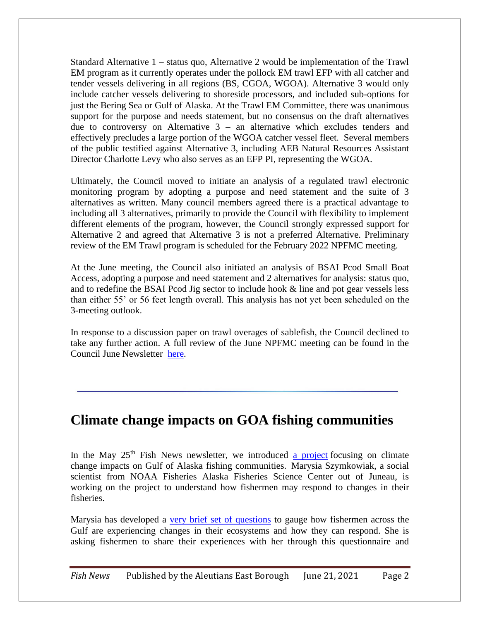Standard Alternative 1 – status quo, Alternative 2 would be implementation of the Trawl EM program as it currently operates under the pollock EM trawl EFP with all catcher and tender vessels delivering in all regions (BS, CGOA, WGOA). Alternative 3 would only include catcher vessels delivering to shoreside processors, and included sub-options for just the Bering Sea or Gulf of Alaska. At the Trawl EM Committee, there was unanimous support for the purpose and needs statement, but no consensus on the draft alternatives due to controversy on Alternative  $3 -$  an alternative which excludes tenders and effectively precludes a large portion of the WGOA catcher vessel fleet. Several members of the public testified against Alternative 3, including AEB Natural Resources Assistant Director Charlotte Levy who also serves as an EFP PI, representing the WGOA.

Ultimately, the Council moved to initiate an analysis of a regulated trawl electronic monitoring program by adopting a purpose and need statement and the suite of 3 alternatives as written. Many council members agreed there is a practical advantage to including all 3 alternatives, primarily to provide the Council with flexibility to implement different elements of the program, however, the Council strongly expressed support for Alternative 2 and agreed that Alternative 3 is not a preferred Alternative. Preliminary review of the EM Trawl program is scheduled for the February 2022 NPFMC meeting.

At the June meeting, the Council also initiated an analysis of BSAI Pcod Small Boat Access, adopting a purpose and need statement and 2 alternatives for analysis: status quo, and to redefine the BSAI Pcod Jig sector to include hook & line and pot gear vessels less than either 55' or 56 feet length overall. This analysis has not yet been scheduled on the 3-meeting outlook.

In response to a discussion paper on trawl overages of sablefish, the Council declined to take any further action. A full review of the June NPFMC meeting can be found in the Council June Newsletter [here.](https://www.npfmc.org/npfmc-newsletters/)

## **Climate change impacts on GOA fishing communities**

In the May  $25<sup>th</sup>$  Fish News newsletter, we introduced [a project](https://www.fisheries.noaa.gov/alaska/socioeconomics/gulf-alaska-climate-integrated-modeling-socioeconomics-climate-communities) focusing on climate change impacts on Gulf of Alaska fishing communities. Marysia Szymkowiak, a social scientist from NOAA Fisheries Alaska Fisheries Science Center out of Juneau, is working on the project to understand how fishermen may respond to changes in their fisheries.

Marysia has developed a [very brief set of questions](https://docs.google.com/forms/d/17F2AvACce5fzQLJrTkbWD209OSSp3dTWphK4pXFbSgk/edit) to gauge how fishermen across the Gulf are experiencing changes in their ecosystems and how they can respond. She is asking fishermen to share their experiences with her through this questionnaire and